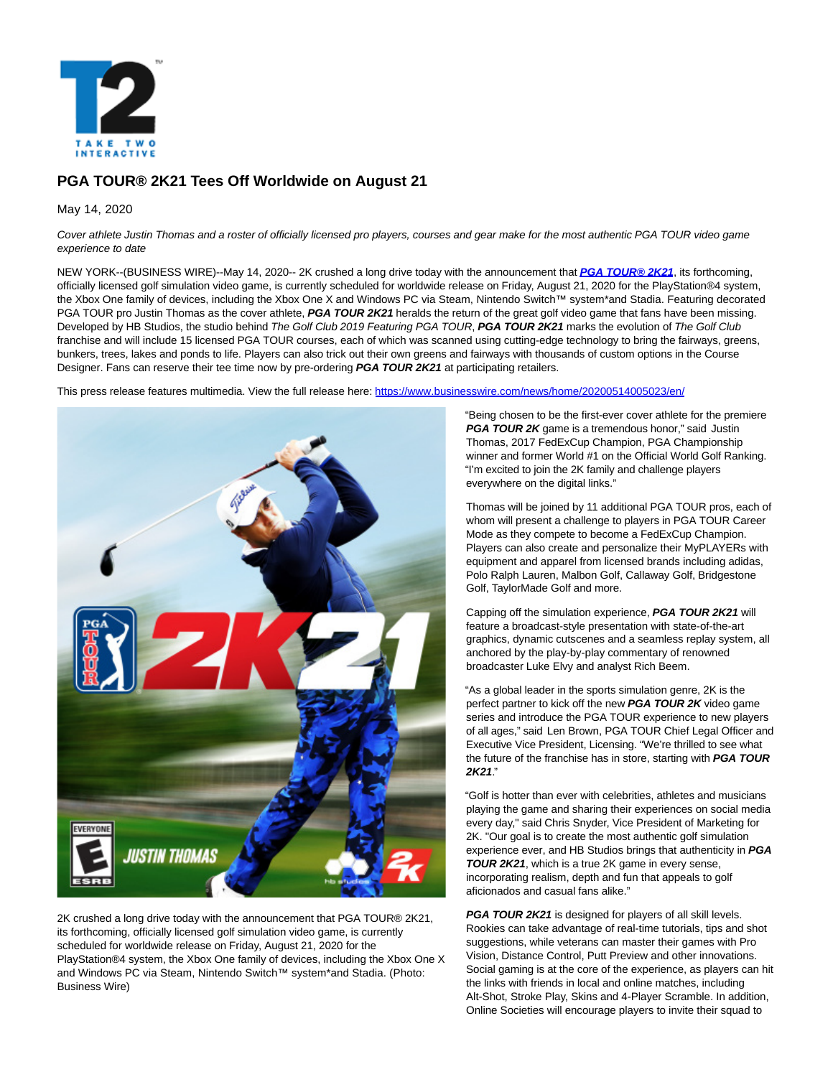

# **PGA TOUR® 2K21 Tees Off Worldwide on August 21**

May 14, 2020

Cover athlete Justin Thomas and a roster of officially licensed pro players, courses and gear make for the most authentic PGA TOUR video game experience to date

NEW YORK--(BUSINESS WIRE)--May 14, 2020-- 2K crushed a long drive today with the announcement that **[PGA TOUR® 2K21](https://cts.businesswire.com/ct/CT?id=smartlink&url=http%3A%2F%2Fwww.pgatour2k21.com%2F&esheet=52219975&newsitemid=20200514005023&lan=en-US&anchor=PGA+TOUR%26%23174%3B+2K21&index=1&md5=f3fbf2fd49620d126b4015087e6567c1)**, its forthcoming, officially licensed golf simulation video game, is currently scheduled for worldwide release on Friday, August 21, 2020 for the PlayStation®4 system, the Xbox One family of devices, including the Xbox One X and Windows PC via Steam, Nintendo Switch™ system\*and Stadia. Featuring decorated PGA TOUR pro Justin Thomas as the cover athlete, **PGA TOUR 2K21** heralds the return of the great golf video game that fans have been missing. Developed by HB Studios, the studio behind The Golf Club 2019 Featuring PGA TOUR, **PGA TOUR 2K21** marks the evolution of The Golf Club franchise and will include 15 licensed PGA TOUR courses, each of which was scanned using cutting-edge technology to bring the fairways, greens, bunkers, trees, lakes and ponds to life. Players can also trick out their own greens and fairways with thousands of custom options in the Course Designer. Fans can reserve their tee time now by pre-ordering **PGA TOUR 2K21** at participating retailers.

This press release features multimedia. View the full release here:<https://www.businesswire.com/news/home/20200514005023/en/>



2K crushed a long drive today with the announcement that PGA TOUR® 2K21, its forthcoming, officially licensed golf simulation video game, is currently scheduled for worldwide release on Friday, August 21, 2020 for the PlayStation®4 system, the Xbox One family of devices, including the Xbox One X and Windows PC via Steam, Nintendo Switch™ system\*and Stadia. (Photo: Business Wire)

"Being chosen to be the first-ever cover athlete for the premiere **PGA TOUR 2K** game is a tremendous honor," said Justin Thomas, 2017 FedExCup Champion, PGA Championship winner and former World #1 on the Official World Golf Ranking. "I'm excited to join the 2K family and challenge players everywhere on the digital links."

Thomas will be joined by 11 additional PGA TOUR pros, each of whom will present a challenge to players in PGA TOUR Career Mode as they compete to become a FedExCup Champion. Players can also create and personalize their MyPLAYERs with equipment and apparel from licensed brands including adidas, Polo Ralph Lauren, Malbon Golf, Callaway Golf, Bridgestone Golf, TaylorMade Golf and more.

Capping off the simulation experience, **PGA TOUR 2K21** will feature a broadcast-style presentation with state-of-the-art graphics, dynamic cutscenes and a seamless replay system, all anchored by the play-by-play commentary of renowned broadcaster Luke Elvy and analyst Rich Beem.

"As a global leader in the sports simulation genre, 2K is the perfect partner to kick off the new **PGA TOUR 2K** video game series and introduce the PGA TOUR experience to new players of all ages," said Len Brown, PGA TOUR Chief Legal Officer and Executive Vice President, Licensing. "We're thrilled to see what the future of the franchise has in store, starting with **PGA TOUR 2K21**."

"Golf is hotter than ever with celebrities, athletes and musicians playing the game and sharing their experiences on social media every day," said Chris Snyder, Vice President of Marketing for 2K. "Our goal is to create the most authentic golf simulation experience ever, and HB Studios brings that authenticity in **PGA TOUR 2K21**, which is a true 2K game in every sense, incorporating realism, depth and fun that appeals to golf aficionados and casual fans alike."

**PGA TOUR 2K21** is designed for players of all skill levels. Rookies can take advantage of real-time tutorials, tips and shot suggestions, while veterans can master their games with Pro Vision, Distance Control, Putt Preview and other innovations. Social gaming is at the core of the experience, as players can hit the links with friends in local and online matches, including Alt-Shot, Stroke Play, Skins and 4-Player Scramble. In addition, Online Societies will encourage players to invite their squad to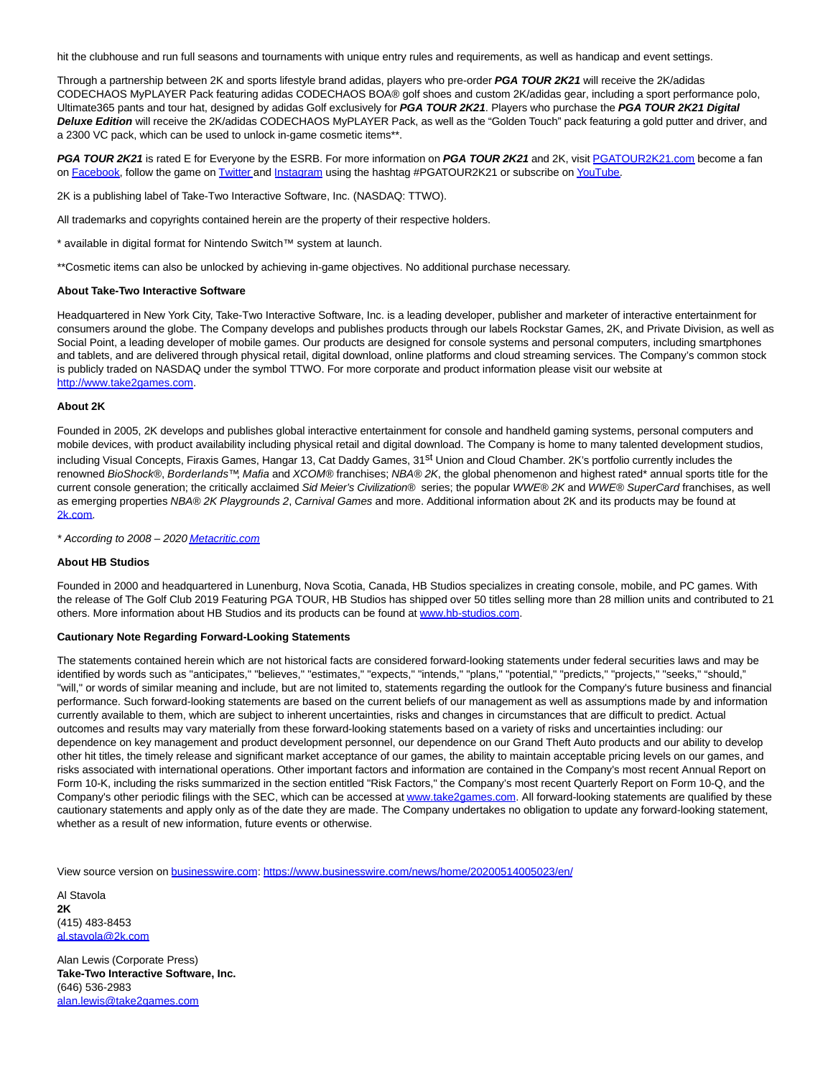hit the clubhouse and run full seasons and tournaments with unique entry rules and requirements, as well as handicap and event settings.

Through a partnership between 2K and sports lifestyle brand adidas, players who pre-order **PGA TOUR 2K21** will receive the 2K/adidas CODECHAOS MyPLAYER Pack featuring adidas CODECHAOS BOA® golf shoes and custom 2K/adidas gear, including a sport performance polo, Ultimate365 pants and tour hat, designed by adidas Golf exclusively for **PGA TOUR 2K21**. Players who purchase the **PGA TOUR 2K21 Digital** Deluxe Edition will receive the 2K/adidas CODECHAOS MyPLAYER Pack, as well as the "Golden Touch" pack featuring a gold putter and driver, and a 2300 VC pack, which can be used to unlock in-game cosmetic items\*\*.

**PGA TOUR 2K21** is rated E for Everyone by the ESRB. For more information on **PGA TOUR 2K21** and 2K, visit [PGATOUR2K21.com b](https://cts.businesswire.com/ct/CT?id=smartlink&url=http%3A%2F%2Fwww.pgatour2k21.com%2F&esheet=52219975&newsitemid=20200514005023&lan=en-US&anchor=PGATOUR2K21.com&index=2&md5=c5948c88280de292c37ba934df27c386)ecome a fan on [Facebook,](https://cts.businesswire.com/ct/CT?id=smartlink&url=http%3A%2F%2Fwww.facebook.com%2Fpgatour2k&esheet=52219975&newsitemid=20200514005023&lan=en-US&anchor=Facebook&index=3&md5=e1b6d349c9d9046c4d75c3c6287fb7fa) follow the game on [Twitter a](https://cts.businesswire.com/ct/CT?id=smartlink&url=http%3A%2F%2Fwww.twitter.com%2Fpgatour2k&esheet=52219975&newsitemid=20200514005023&lan=en-US&anchor=Twitter&index=4&md5=ab8fac0c7ae37d3419663dd9ff8f6cf2)nd [Instagram u](https://cts.businesswire.com/ct/CT?id=smartlink&url=https%3A%2F%2Fwww.instagram.com%2Fpgatour2k%2F&esheet=52219975&newsitemid=20200514005023&lan=en-US&anchor=Instagram&index=5&md5=89107051b846ada41b02387264838579)sing the hashtag #PGATOUR2K21 or subscribe o[n YouTube.](https://cts.businesswire.com/ct/CT?id=smartlink&url=http%3A%2F%2Fwww.youtube.com%2Fpgatour2k&esheet=52219975&newsitemid=20200514005023&lan=en-US&anchor=YouTube&index=6&md5=24f3746c6f7682e36faf444e5e523fbb)

2K is a publishing label of Take-Two Interactive Software, Inc. (NASDAQ: TTWO).

All trademarks and copyrights contained herein are the property of their respective holders.

\* available in digital format for Nintendo Switch™ system at launch.

\*\*Cosmetic items can also be unlocked by achieving in-game objectives. No additional purchase necessary.

#### **About Take-Two Interactive Software**

Headquartered in New York City, Take-Two Interactive Software, Inc. is a leading developer, publisher and marketer of interactive entertainment for consumers around the globe. The Company develops and publishes products through our labels Rockstar Games, 2K, and Private Division, as well as Social Point, a leading developer of mobile games. Our products are designed for console systems and personal computers, including smartphones and tablets, and are delivered through physical retail, digital download, online platforms and cloud streaming services. The Company's common stock is publicly traded on NASDAQ under the symbol TTWO. For more corporate and product information please visit our website at [http://www.take2games.com.](https://cts.businesswire.com/ct/CT?id=smartlink&url=http%3A%2F%2Fwww.take2games.com&esheet=52219975&newsitemid=20200514005023&lan=en-US&anchor=http%3A%2F%2Fwww.take2games.com&index=7&md5=83bb6e5e354dddbca9f1c4483e0662ac)

#### **About 2K**

Founded in 2005, 2K develops and publishes global interactive entertainment for console and handheld gaming systems, personal computers and mobile devices, with product availability including physical retail and digital download. The Company is home to many talented development studios, including Visual Concepts, Firaxis Games, Hangar 13, Cat Daddy Games, 31<sup>st</sup> Union and Cloud Chamber. 2K's portfolio currently includes the renowned BioShock®, Borderlands™, Mafia and XCOM® franchises; NBA® 2K, the global phenomenon and highest rated\* annual sports title for the current console generation; the critically acclaimed Sid Meier's Civilization® series; the popular WWE® 2K and WWE® SuperCard franchises, as well as emerging properties NBA® 2K Playgrounds 2, Carnival Games and more. Additional information about 2K and its products may be found at [2k.com.](https://cts.businesswire.com/ct/CT?id=smartlink&url=http%3A%2F%2Fwww.2k.com%2F&esheet=52219975&newsitemid=20200514005023&lan=en-US&anchor=2k.com&index=8&md5=32e970f3000d9238f2877887865a22f7)

\* According to 2008 – 202[0 Metacritic.com](https://cts.businesswire.com/ct/CT?id=smartlink&url=https%3A%2F%2Fwww.metacritic.com%2F&esheet=52219975&newsitemid=20200514005023&lan=en-US&anchor=Metacritic.com&index=9&md5=87d797817a303e9e8fbf62714db6423e)

### **About HB Studios**

Founded in 2000 and headquartered in Lunenburg, Nova Scotia, Canada, HB Studios specializes in creating console, mobile, and PC games. With the release of The Golf Club 2019 Featuring PGA TOUR, HB Studios has shipped over 50 titles selling more than 28 million units and contributed to 21 others. More information about HB Studios and its products can be found at [www.hb-studios.com.](https://cts.businesswire.com/ct/CT?id=smartlink&url=http%3A%2F%2Fwww.hb-studios.com&esheet=52219975&newsitemid=20200514005023&lan=en-US&anchor=www.hb-studios.com&index=10&md5=1b1716d4cce3b50a3419ec8f53590eec)

## **Cautionary Note Regarding Forward-Looking Statements**

The statements contained herein which are not historical facts are considered forward-looking statements under federal securities laws and may be identified by words such as "anticipates," "believes," "estimates," "expects," "intends," "plans," "potential," "predicts," "projects," "seeks," "should," "will," or words of similar meaning and include, but are not limited to, statements regarding the outlook for the Company's future business and financial performance. Such forward-looking statements are based on the current beliefs of our management as well as assumptions made by and information currently available to them, which are subject to inherent uncertainties, risks and changes in circumstances that are difficult to predict. Actual outcomes and results may vary materially from these forward-looking statements based on a variety of risks and uncertainties including: our dependence on key management and product development personnel, our dependence on our Grand Theft Auto products and our ability to develop other hit titles, the timely release and significant market acceptance of our games, the ability to maintain acceptable pricing levels on our games, and risks associated with international operations. Other important factors and information are contained in the Company's most recent Annual Report on Form 10-K, including the risks summarized in the section entitled "Risk Factors," the Company's most recent Quarterly Report on Form 10-Q, and the Company's other periodic filings with the SEC, which can be accessed a[t www.take2games.com.](https://cts.businesswire.com/ct/CT?id=smartlink&url=http%3A%2F%2Fwww.take2games.com&esheet=52219975&newsitemid=20200514005023&lan=en-US&anchor=www.take2games.com&index=11&md5=5b953e7c6635b3a33c18750676df2485) All forward-looking statements are qualified by these cautionary statements and apply only as of the date they are made. The Company undertakes no obligation to update any forward-looking statement, whether as a result of new information, future events or otherwise.

View source version on [businesswire.com:](http://businesswire.com/)<https://www.businesswire.com/news/home/20200514005023/en/>

Al Stavola **2K** (415) 483-8453 [al.stavola@2k.com](mailto:jaime.jensen@2k.com)

Alan Lewis (Corporate Press) **Take-Two Interactive Software, Inc.** (646) 536-2983 [alan.lewis@take2games.com](mailto:alan.lewis@take2games.com)